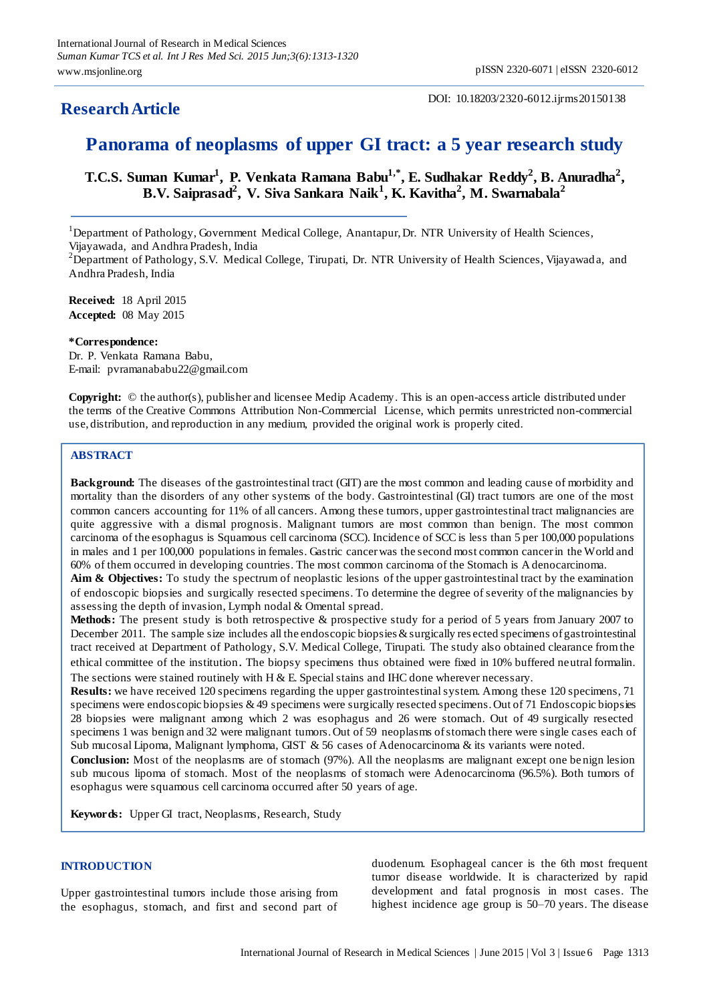# **ResearchArticle**

# **Panorama of neoplasms of upper GI tract: a 5 year research study**

**T.C.S. Suman Kumar<sup>1</sup> , P. Venkata Ramana Babu1,\* , E. Sudhakar Reddy<sup>2</sup> , B. Anuradha<sup>2</sup> , B.V. Saiprasad<sup>2</sup> , V. Siva Sankara Naik<sup>1</sup> , K. Kavitha<sup>2</sup> , M. Swarnabala<sup>2</sup>**

<sup>1</sup>Department of Pathology, Government Medical College, Anantapur, Dr. NTR University of Health Sciences, Vijayawada, and Andhra Pradesh, India

<sup>2</sup>Department of Pathology, S.V. Medical College, Tirupati, Dr. NTR University of Health Sciences, Vijayawada, and Andhra Pradesh, India

**Received:** 18 April 2015 **Accepted:** 08 May 2015

## **\*Correspondence:**

Dr. P. Venkata Ramana Babu, E-mail: pvramanababu22@gmail.com

**Copyright:** © the author(s), publisher and licensee Medip Academy. This is an open-access article distributed under the terms of the Creative Commons Attribution Non-Commercial License, which permits unrestricted non-commercial use, distribution, and reproduction in any medium, provided the original work is properly cited.

# **ABSTRACT**

**Background:** The diseases of the gastrointestinal tract (GIT) are the most common and leading cause of morbidity and mortality than the disorders of any other systems of the body. Gastrointestinal (GI) tract tumors are one of the most common cancers accounting for 11% of all cancers. Among these tumors, upper gastrointestinal tract malignancies are quite aggressive with a dismal prognosis. Malignant tumors are most common than benign. The most common carcinoma of the esophagus is Squamous cell carcinoma (SCC). Incidence of SCC is less than 5 per 100,000 populations in males and 1 per 100,000 populations in females. Gastric cancer was the second most common cancer in the World and 60% of them occurred in developing countries. The most common carcinoma of the Stomach is A denocarcinoma.

**Aim & Objectives:** To study the spectrum of neoplastic lesions of the upper gastrointestinal tract by the examination of endoscopic biopsies and surgically resected specimens. To determine the degree of severity of the malignancies by assessing the depth of invasion, Lymph nodal & Omental spread.

**Methods:** The present study is both retrospective & prospective study for a period of 5 years from January 2007 to December 2011. The sample size includes all the endoscopic biopsies & surgically res ected specimens of gastrointestinal tract received at Department of Pathology, S.V. Medical College, Tirupati. The study also obtained clearance from the ethical committee of the institution. The biopsy specimens thus obtained were fixed in 10% buffered neutral formalin. The sections were stained routinely with  $H \& E$ . Special stains and IHC done wherever necessary.

**Results:** we have received 120 specimens regarding the upper gastrointestinal system. Among these 120 specimens, 71 specimens were endoscopic biopsies & 49 specimens were surgically resected specimens. Out of 71 Endoscopic biopsies 28 biopsies were malignant among which 2 was esophagus and 26 were stomach. Out of 49 surgically resected specimens 1 was benign and 32 were malignant tumors. Out of 59 neoplasms of stomach there were single cases each of Sub mucosal Lipoma, Malignant lymphoma, GIST & 56 cases of Adenocarcinoma & its variants were noted.

**Conclusion:** Most of the neoplasms are of stomach (97%). All the neoplasms are malignant except one benign lesion sub mucous lipoma of stomach. Most of the neoplasms of stomach were Adenocarcinoma (96.5%). Both tumors of esophagus were squamous cell carcinoma occurred after 50 years of age.

**Keywords:** Upper GI tract, Neoplasms, Research, Study

# **INTRODUCTION**

Upper gastrointestinal tumors include those arising from the esophagus, stomach, and first and second part of duodenum. Esophageal cancer is the 6th most frequent tumor disease worldwide. It is characterized by rapid development and fatal prognosis in most cases. The highest incidence age group is 50–70 years. The disease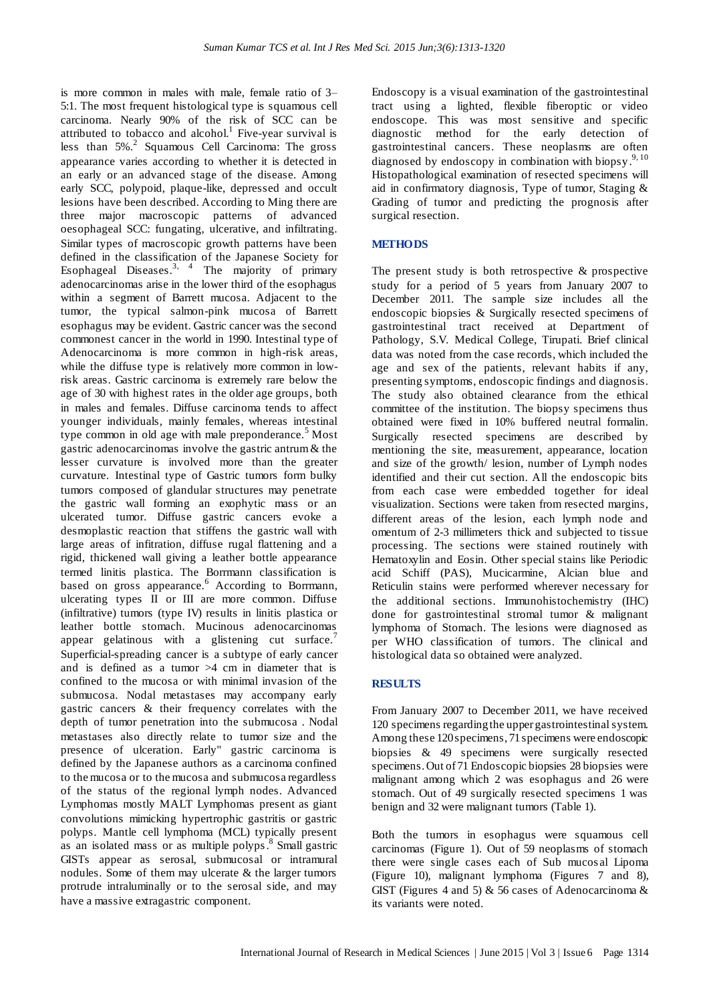is more common in males with male, female ratio of 3– 5:1. The most frequent histological type is squamous cell carcinoma. Nearly 90% of the risk of SCC can be attributed to tobacco and alcohol.<sup>1</sup> Five-year survival is less than  $5\%$ .<sup>2</sup> Squamous Cell Carcinoma: The gross appearance varies according to whether it is detected in an early or an advanced stage of the disease. Among early SCC, polypoid, plaque-like, depressed and occult lesions have been described. According to Ming there are three major macroscopic patterns of advanced oesophageal SCC: fungating, ulcerative, and infiltrating. Similar types of macroscopic growth patterns have been defined in the classification of the Japanese Society for Esophageal Diseases.<sup>3, 4</sup> The majority of primary adenocarcinomas arise in the lower third of the esophagus within a segment of Barrett mucosa. Adjacent to the tumor, the typical salmon-pink mucosa of Barrett esophagus may be evident. Gastric cancer was the second commonest cancer in the world in 1990. Intestinal type of Adenocarcinoma is more common in high-risk areas, while the diffuse type is relatively more common in lowrisk areas. Gastric carcinoma is extremely rare below the age of 30 with highest rates in the older age groups, both in males and females. Diffuse carcinoma tends to affect younger individuals, mainly females, whereas intestinal type common in old age with male preponderance.<sup>5</sup> Most gastric adenocarcinomas involve the gastric antrum & the lesser curvature is involved more than the greater curvature. Intestinal type of Gastric tumors form bulky tumors composed of glandular structures may penetrate the gastric wall forming an exophytic mass or an ulcerated tumor. Diffuse gastric cancers evoke a desmoplastic reaction that stiffens the gastric wall with large areas of infitration, diffuse rugal flattening and a rigid, thickened wall giving a leather bottle appearance termed linitis plastica. The Borrmann classification is based on gross appearance.<sup>6</sup> According to Borrmann, ulcerating types II or III are more common. Diffuse (infiltrative) tumors (type IV) results in linitis plastica or leather bottle stomach. Mucinous adenocarcinomas appear gelatinous with a glistening cut surface.<sup>7</sup> Superficial-spreading cancer is a subtype of early cancer and is defined as a tumor  $>4$  cm in diameter that is confined to the mucosa or with minimal invasion of the submucosa. Nodal metastases may accompany early gastric cancers & their frequency correlates with the depth of tumor penetration into the submucosa . Nodal metastases also directly relate to tumor size and the presence of ulceration. Early" gastric carcinoma is defined by the Japanese authors as a carcinoma confined to the mucosa or to the mucosa and submucosa regardless of the status of the regional lymph nodes. Advanced Lymphomas mostly MALT Lymphomas present as giant convolutions mimicking hypertrophic gastritis or gastric polyps. Mantle cell lymphoma (MCL) typically present as an isolated mass or as multiple polyps.<sup>8</sup> Small gastric GISTs appear as serosal, submucosal or intramural nodules. Some of them may ulcerate & the larger tumors protrude intraluminally or to the serosal side, and may have a massive extragastric component.

Endoscopy is a visual examination of the gastrointestinal tract using a lighted, flexible fiberoptic or video endoscope. This was most sensitive and specific diagnostic method for the early detection of gastrointestinal cancers. These neoplasms are often diagnosed by endoscopy in combination with biopsy.<sup>9,10</sup> Histopathological examination of resected specimens will aid in confirmatory diagnosis, Type of tumor, Staging & Grading of tumor and predicting the prognosis after surgical resection.

## **METHODS**

The present study is both retrospective & prospective study for a period of 5 years from January 2007 to December 2011. The sample size includes all the endoscopic biopsies & Surgically resected specimens of gastrointestinal tract received at Department of Pathology, S.V. Medical College, Tirupati. Brief clinical data was noted from the case records, which included the age and sex of the patients, relevant habits if any, presenting symptoms, endoscopic findings and diagnosis. The study also obtained clearance from the ethical committee of the institution. The biopsy specimens thus obtained were fixed in 10% buffered neutral formalin. Surgically resected specimens are described by mentioning the site, measurement, appearance, location and size of the growth/ lesion, number of Lymph nodes identified and their cut section. All the endoscopic bits from each case were embedded together for ideal visualization. Sections were taken from resected margins, different areas of the lesion, each lymph node and omentum of 2-3 millimeters thick and subjected to tissue processing. The sections were stained routinely with Hematoxylin and Eosin. Other special stains like Periodic acid Schiff (PAS), Mucicarmine, Alcian blue and Reticulin stains were performed wherever necessary for the additional sections. Immunohistochemistry (IHC) done for gastrointestinal stromal tumor & malignant lymphoma of Stomach. The lesions were diagnosed as per WHO classification of tumors. The clinical and histological data so obtained were analyzed.

#### **RESULTS**

From January 2007 to December 2011, we have received 120 specimens regarding the upper gastrointestinal system. Among these 120 specimens, 71 specimens were endoscopic biopsies & 49 specimens were surgically resected specimens. Out of 71 Endoscopic biopsies 28 biopsies were malignant among which 2 was esophagus and 26 were stomach. Out of 49 surgically resected specimens 1 was benign and 32 were malignant tumors (Table 1).

Both the tumors in esophagus were squamous cell carcinomas (Figure 1). Out of 59 neoplasms of stomach there were single cases each of Sub mucos al Lipoma (Figure 10), malignant lymphoma (Figures 7 and 8), GIST (Figures 4 and 5)  $\&$  56 cases of Adenocarcinoma  $\&$ its variants were noted.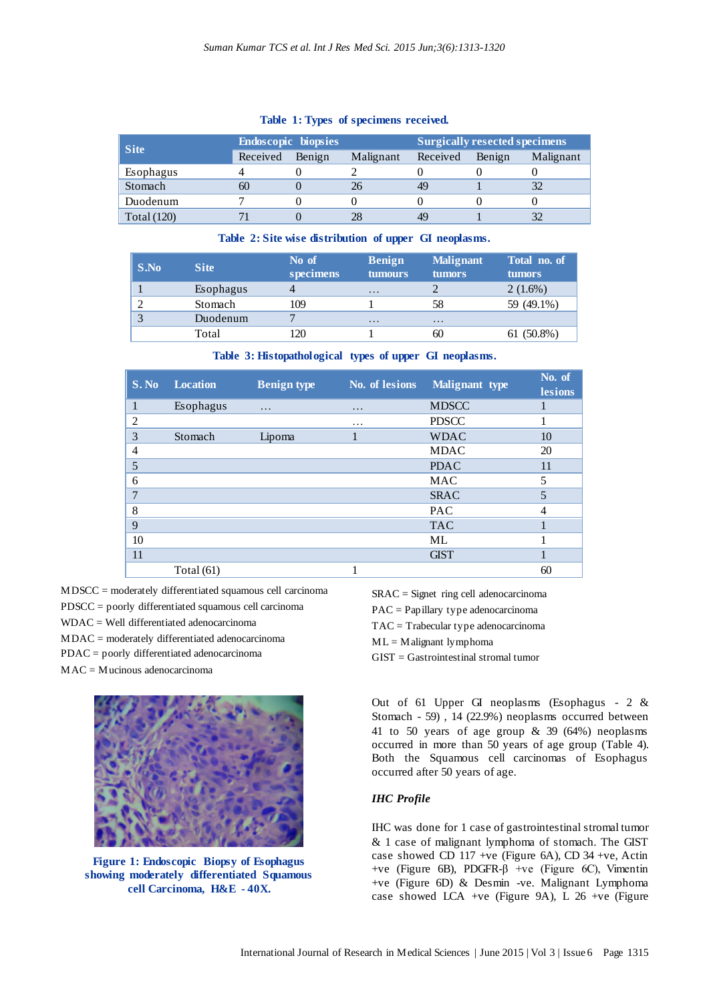| <b>Site</b>        | <b>Endoscopic biopsies</b> |        |           | <b>Surgically resected specimens</b> |        |           |
|--------------------|----------------------------|--------|-----------|--------------------------------------|--------|-----------|
|                    | Received                   | Benign | Malignant | Received                             | Benign | Malignant |
| Esophagus          |                            |        |           |                                      |        |           |
| Stomach            | 60                         |        | 26        | 49                                   |        |           |
| Duodenum           |                            |        |           |                                      |        |           |
| <b>Total</b> (120) |                            |        |           | 49                                   |        |           |

#### **Table 1: Types of specimens received.**

## **Table 2: Site wise distribution of upper GI neoplasms.**

| S.No | <b>Site</b> | No of<br>specimens | <b>Benign</b><br><b>tumours</b> | <b>Malignant</b><br><b>tumors</b> | Total no. of<br><b>tumors</b> |
|------|-------------|--------------------|---------------------------------|-----------------------------------|-------------------------------|
|      | Esophagus   |                    | $\ddot{\phantom{0}}$            |                                   | $2(1.6\%)$                    |
|      | Stomach     | 109                |                                 | 58                                | 59 (49.1%)                    |
|      | Duodenum    |                    | $\ddot{\phantom{0}}$            | $\ddot{\phantom{0}}$              |                               |
|      | Total       | 20                 |                                 | 60                                | $61(50.8\%)$                  |

|  |  |  |  |  |  |  | Table 3: Histopathological types of upper GI neoplasms. |
|--|--|--|--|--|--|--|---------------------------------------------------------|
|--|--|--|--|--|--|--|---------------------------------------------------------|

| S. No          | <b>Location</b> | <b>Benign type</b> | No. of lesions | Malignant type | No. of<br>lesions |
|----------------|-----------------|--------------------|----------------|----------------|-------------------|
|                | Esophagus       | .                  | .              | <b>MDSCC</b>   |                   |
| $\overline{c}$ |                 |                    | .              | <b>PDSCC</b>   |                   |
| 3              | Stomach         | Lipoma             |                | <b>WDAC</b>    | 10                |
| 4              |                 |                    |                | <b>MDAC</b>    | 20                |
| 5              |                 |                    |                | <b>PDAC</b>    | 11                |
| 6              |                 |                    |                | <b>MAC</b>     | 5                 |
| 7              |                 |                    |                | <b>SRAC</b>    | 5                 |
| 8              |                 |                    |                | <b>PAC</b>     | 4                 |
| 9              |                 |                    |                | <b>TAC</b>     |                   |
| 10             |                 |                    |                | ML             |                   |
| 11             |                 |                    |                | <b>GIST</b>    |                   |
|                | Total $(61)$    |                    |                |                | 60                |

MDSCC = moderately differentiated squamous cell carcinoma

- PDSCC = poorly differentiated squamous cell carcinoma
- WDAC = Well differentiated adenocarcinoma
- MDAC = moderately differentiated adenocarcinoma
- PDAC = poorly differentiated adenocarcinoma
- MAC = Mucinous adenocarcinoma



**Figure 1: Endoscopic Biopsy of Esophagus showing moderately differentiated Squamous cell Carcinoma, H&E - 40X.**

SRAC = Signet ring cell adenocarcinoma PAC = Papillary type adenocarcinoma TAC = Trabecular type adenocarcinoma  $ML = M$ alignant lymphoma GIST = Gastrointestinal stromal tumor

Out of 61 Upper GI neoplasms (Esophagus - 2 & Stomach - 59) , 14 (22.9%) neoplasms occurred between 41 to 50 years of age group & 39 (64%) neoplasms occurred in more than 50 years of age group (Table 4). Both the Squamous cell carcinomas of Esophagus occurred after 50 years of age.

# *IHC Profile*

IHC was done for 1 case of gastrointestinal stromal tumor & 1 case of malignant lymphoma of stomach. The GIST case showed CD 117 +ve (Figure 6A), CD 34 +ve, Actin +ve (Figure 6B), PDGFR-β +ve (Figure 6C), Vimentin +ve (Figure 6D) & Desmin -ve. Malignant Lymphoma case showed LCA +ve (Figure 9A), L 26 +ve (Figure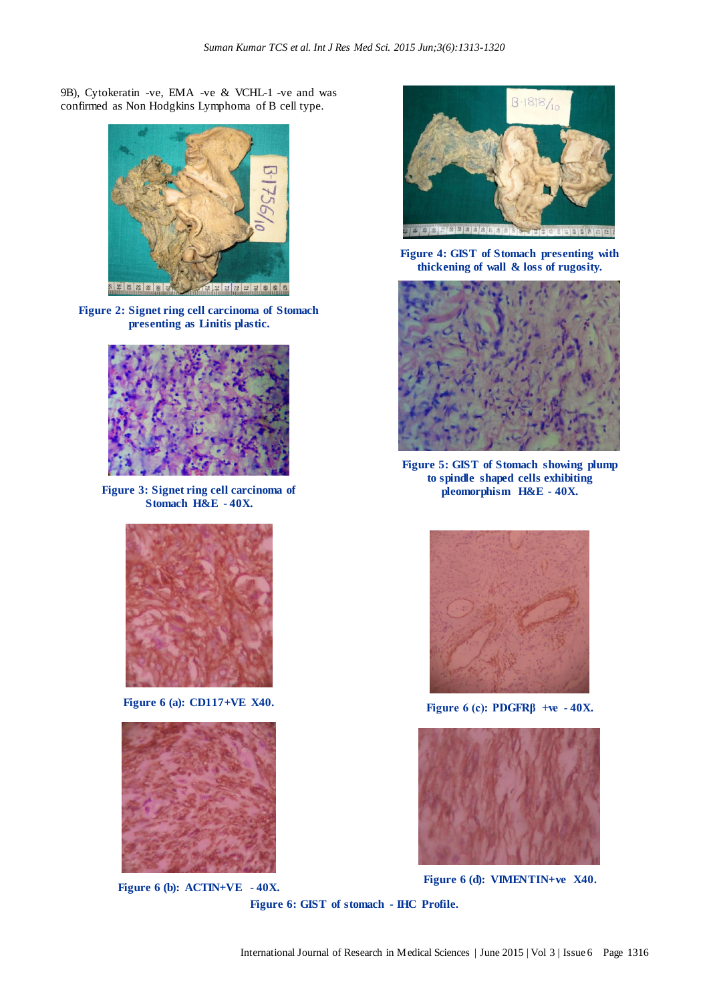9B), Cytokeratin -ve, EMA -ve & VCHL-1 -ve and was confirmed as Non Hodgkins Lymphoma of B cell type.



**Figure 2: Signet ring cell carcinoma of Stomach presenting as Linitis plastic.**



**Figure 3: Signet ring cell carcinoma of Stomach H&E - 40X.**



**Figure 6 (a): CD117+VE X40.**



**Figure 6 (b): ACTIN+VE - 40X.**



**Figure 4: GIST of Stomach presenting with thickening of wall & loss of rugosity.**



**Figure 5: GIST of Stomach showing plump to spindle shaped cells exhibiting pleomorphism H&E - 40X.**



**Figure 6 (c): PDGFRβ +ve - 40X.**



**Figure 6 (d): VIMENTIN+ve X40.**

**Figure 6: GIST of stomach - IHC Profile.**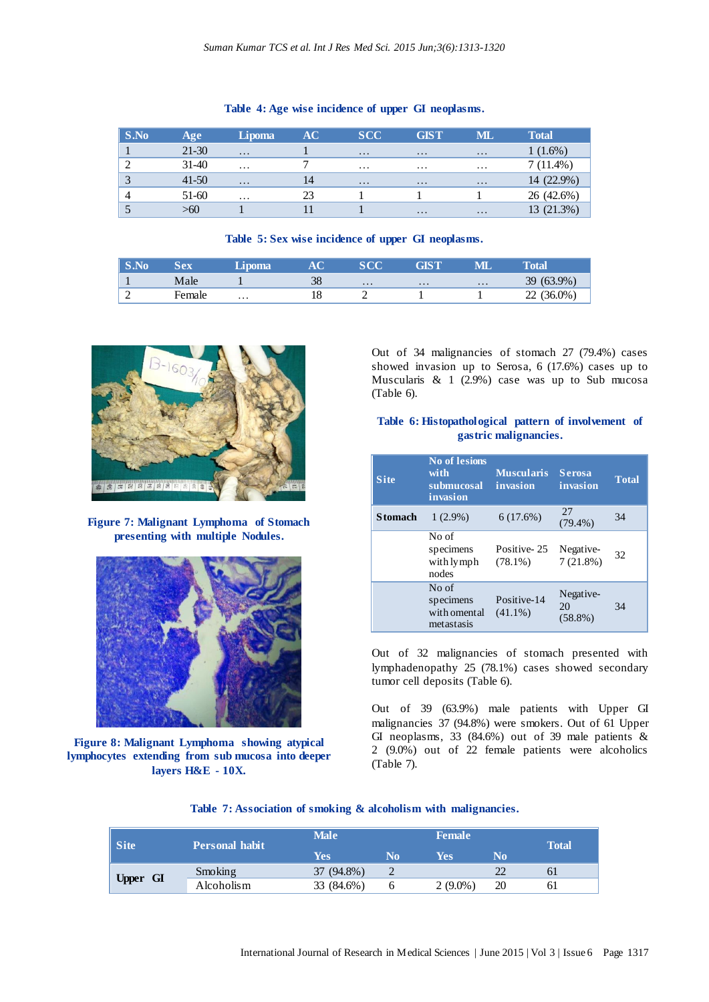| S.No       | Age       | <b>Lipoma</b> | AC. | <b>SCC</b>          | <b>GIST</b>         | ML                  | <b>Total</b> |
|------------|-----------|---------------|-----|---------------------|---------------------|---------------------|--------------|
|            | $21-30$   | $\cdots$      |     | $\cdots$            | $\ddots$            | $\cdots$            | $1(1.6\%)$   |
|            | $31 - 40$ | $\cdots$      |     | $\cdots$            | $\cdots$            | $\cdots$            | $7(11.4\%)$  |
| $\sqrt{2}$ | $41-50$   | $\cdots$      | 14  | $\cdot \cdot \cdot$ | $\cdot \cdot \cdot$ | $\cdot \cdot \cdot$ | 14 (22.9%)   |
|            | 51-60     | $\cdots$      | 23  |                     |                     |                     | 26 (42.6%)   |
|            | >60       |               |     |                     | $\cdot\cdot\cdot$   | $\cdot \cdot \cdot$ | 13 (21.3%)   |

## **Table 4: Age wise incidence of upper GI neoplasms.**

## **Table 5: Sex wise incidence of upper GI neoplasms.**

| <b>No.</b> | $\overline{a}$ |          |    | $\alpha \alpha$ |          |          | <b>otal</b>        |
|------------|----------------|----------|----|-----------------|----------|----------|--------------------|
|            | Male           |          | 38 | $\cdots$        | $\cdots$ | $\ddots$ | (63.9%<br>39       |
| ∸          | Female         | $\cdots$ | 10 |                 |          |          | $(36.0\%)$<br>,,,, |



**Figure 7: Malignant Lymphoma of Stomach presenting with multiple Nodules.**



**Figure 8: Malignant Lymphoma showing atypical lymphocytes extending from sub mucosa into deeper layers H&E - 10X.**

Out of 34 malignancies of stomach 27 (79.4%) cases showed invasion up to Serosa, 6 (17.6%) cases up to Muscularis  $\&$  1 (2.9%) case was up to Sub mucosa (Table 6).

# **Table 6: Histopathological pattern of involvement of gastric malignancies.**

| <b>Site</b>    | <b>No of lesions</b><br>with<br>submucosal<br>invasion | <b>Muscularis</b><br>invasion | <b>Serosa</b><br>invasion     | <b>Total</b> |
|----------------|--------------------------------------------------------|-------------------------------|-------------------------------|--------------|
| <b>Stomach</b> | $1(2.9\%)$                                             | 6(17.6%)                      | 27<br>$(79.4\%)$              | 34           |
|                | No of<br>specimens<br>with lymph<br>nodes              | Positive-25<br>$(78.1\%)$     | Negative-<br>7(21.8%)         | 32           |
|                | No of<br>specimens<br>with omental<br>metastasis       | Positive-14<br>$(41.1\%)$     | Negative-<br>20<br>$(58.8\%)$ | 34           |

Out of 32 malignancies of stomach presented with lymphadenopathy 25 (78.1%) cases showed secondary tumor cell deposits (Table 6).

Out of 39 (63.9%) male patients with Upper GI malignancies 37 (94.8%) were smokers. Out of 61 Upper GI neoplasms, 33 (84.6%) out of 39 male patients & 2 (9.0%) out of 22 female patients were alcoholics (Table 7).

|  |  |  |  |  |  |  | Table 7: Association of smoking & alcoholism with malignancies. |
|--|--|--|--|--|--|--|-----------------------------------------------------------------|
|--|--|--|--|--|--|--|-----------------------------------------------------------------|

| Site            | <b>Personal habit</b> | <b>Male</b> |    | <b>Female</b> |    | <b>Total</b> |
|-----------------|-----------------------|-------------|----|---------------|----|--------------|
|                 |                       | Yes         | No | Yes           | No |              |
|                 | Smoking               | 37 (94.8%)  |    |               |    | 61           |
| <b>Upper GI</b> | Alcoholism            | 33 (84.6%)  |    | $2(9.0\%)$    | 20 | 61           |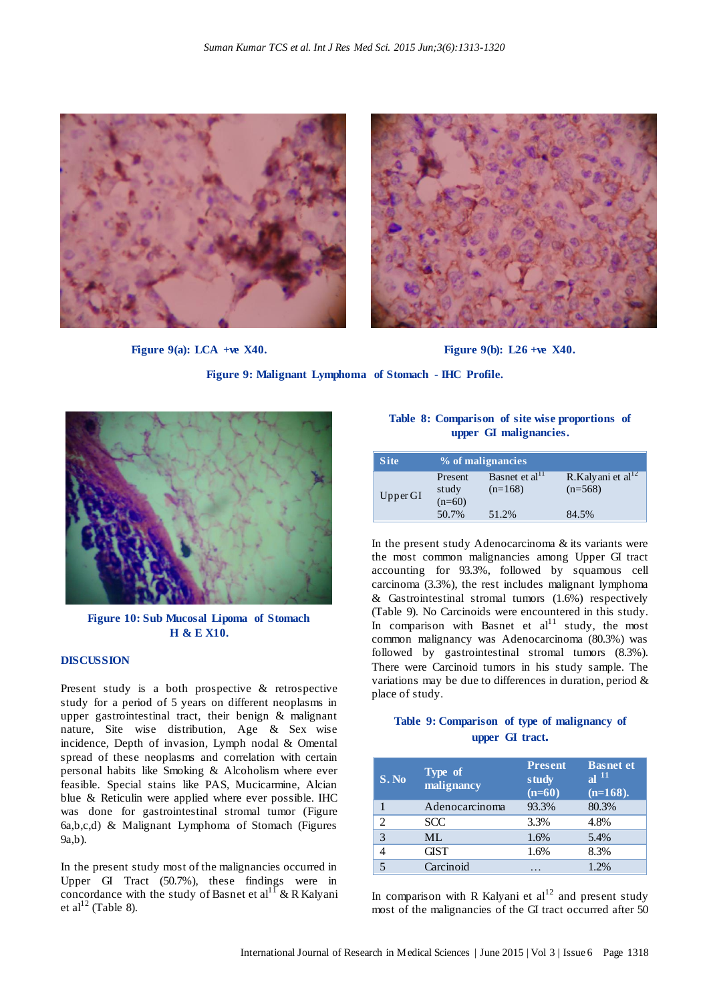



**Figure 9(a):** LCA +ve X40. **Figure 9(b):** L26 +ve X40.

**Figure 9: Malignant Lymphoma of Stomach - IHC Profile.**



**Figure 10: Sub Mucosal Lipoma of Stomach H & E X10.**

## **DISCUSSION**

Present study is a both prospective & retrospective study for a period of 5 years on different neoplasms in upper gastrointestinal tract, their benign & malignant nature, Site wise distribution, Age & Sex wise incidence, Depth of invasion, Lymph nodal & Omental spread of these neoplasms and correlation with certain personal habits like Smoking & Alcoholism where ever feasible. Special stains like PAS, Mucicarmine, Alcian blue & Reticulin were applied where ever possible. IHC was done for gastrointestinal stromal tumor (Figure 6a,b,c,d) & Malignant Lymphoma of Stomach (Figures 9a,b).

In the present study most of the malignancies occurred in Upper GI Tract (50.7%), these findings were in concordance with the study of Basnet et al<sup>11</sup> & R Kalyani et al $^{12}$  (Table 8).

**Table 8: Comparison of site wise proportions of upper GI malignancies.**

| <b>Site</b> | % of malignancies            |                                         |                                      |  |
|-------------|------------------------------|-----------------------------------------|--------------------------------------|--|
| Upper GI    | Present<br>study<br>$(n=60)$ | Basnet et al <sup>11</sup><br>$(n=168)$ | R.Kalyani et al $^{12}$<br>$(n=568)$ |  |
|             | 50.7%                        | 51.2%                                   | 84.5%                                |  |

In the present study Adenocarcinoma & its variants were the most common malignancies among Upper GI tract accounting for 93.3%, followed by squamous cell carcinoma (3.3%), the rest includes malignant lymphoma & Gastrointestinal stromal tumors (1.6%) respectively (Table 9). No Carcinoids were encountered in this study. In comparison with Basnet et  $al<sup>11</sup>$  study, the most common malignancy was Adenocarcinoma (80.3%) was followed by gastrointestinal stromal tumors (8.3%). There were Carcinoid tumors in his study sample. The variations may be due to differences in duration, period & place of study.

# **Table 9: Comparison of type of malignancy of upper GI tract.**

| S.No | Type of<br>malignancy | <b>Present</b><br>study<br>$(n=60)$ | <b>Basnet et</b><br>al $^{11}$<br>$(n=168)$ . |
|------|-----------------------|-------------------------------------|-----------------------------------------------|
|      | Adenocarcinoma        | 93.3%                               | 80.3%                                         |
|      | <b>SCC</b>            | 3.3%                                | 4.8%                                          |
| 3    | MI.                   | 1.6%                                | 5.4%                                          |
|      | <b>GIST</b>           | 1.6%                                | 8.3%                                          |
|      | Carcinoid             |                                     | 1.2%                                          |

In comparison with R Kalyani et  $al<sup>12</sup>$  and present study most of the malignancies of the GI tract occurred after 50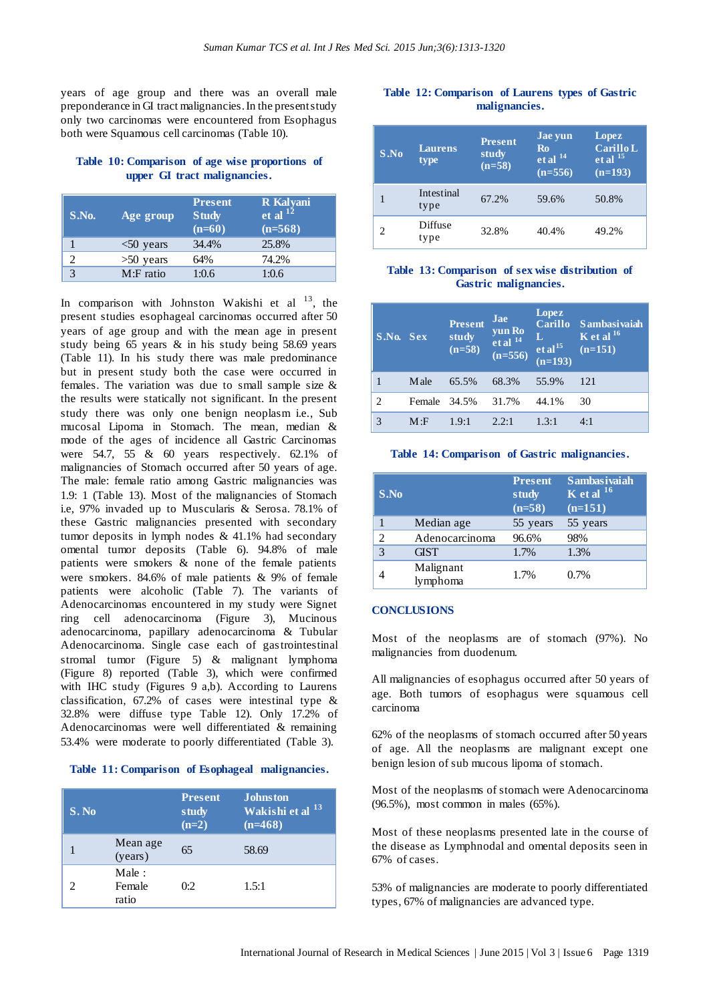years of age group and there was an overall male preponderance in GI tract malignancies. In the present study only two carcinomas were encountered from Esophagus both were Squamous cell carcinomas (Table 10).

## **Table 10: Comparison of age wise proportions of upper GI tract malignancies.**

| S.No. | Age group    | <b>Present</b><br><b>Study</b><br>$(n=60)$ | R Kalyani<br>et al $^{12}$<br>$(n=568)$ |
|-------|--------------|--------------------------------------------|-----------------------------------------|
|       | $<$ 50 years | 34.4%                                      | 25.8%                                   |
| C     | $>50$ years  | 64%                                        | 74.2%                                   |
|       | M:F ratio    | 1:0.6                                      | 1:0.6                                   |

In comparison with Johnston Wakishi et al  $^{13}$ , the present studies esophageal carcinomas occurred after 50 years of age group and with the mean age in present study being 65 years & in his study being 58.69 years (Table 11). In his study there was male predominance but in present study both the case were occurred in females. The variation was due to small sample size & the results were statically not significant. In the present study there was only one benign neoplasm i.e., Sub mucosal Lipoma in Stomach. The mean, median & mode of the ages of incidence all Gastric Carcinomas were 54.7, 55 & 60 years respectively. 62.1% of malignancies of Stomach occurred after 50 years of age. The male: female ratio among Gastric malignancies was 1.9: 1 (Table 13). Most of the malignancies of Stomach i.e, 97% invaded up to Muscularis & Serosa. 78.1% of these Gastric malignancies presented with secondary tumor deposits in lymph nodes & 41.1% had secondary omental tumor deposits (Table 6). 94.8% of male patients were smokers & none of the female patients were smokers. 84.6% of male patients & 9% of female patients were alcoholic (Table 7). The variants of Adenocarcinomas encountered in my study were Signet ring cell adenocarcinoma (Figure 3), Mucinous adenocarcinoma, papillary adenocarcinoma & Tubular Adenocarcinoma. Single case each of gastrointestinal stromal tumor (Figure 5) & malignant lymphoma (Figure 8) reported (Table 3), which were confirmed with IHC study (Figures 9 a,b). According to Laurens classification, 67.2% of cases were intestinal type & 32.8% were diffuse type Table 12). Only 17.2% of Adenocarcinomas were well differentiated & remaining 53.4% were moderate to poorly differentiated (Table 3).

#### **Table 11: Comparison of Esophageal malignancies.**

| S. No                       |                          | <b>Present</b><br>study<br>$(n=2)$ | <b>Johnston</b><br>Wakishi et al <sup>13</sup><br>$(n=468)$ |
|-----------------------------|--------------------------|------------------------------------|-------------------------------------------------------------|
|                             | Mean age<br>(years)      | 65                                 | 58.69                                                       |
| $\mathcal{D}_{\mathcal{L}}$ | Male:<br>Female<br>ratio | 0:2                                | 1.5:1                                                       |

# **Table 12: Comparison of Laurens types of Gastric malignancies.**

| S.No | <b>Laurens</b><br>type | <b>Present</b><br>study<br>$(n=58)$ | Jae yun<br><b>Ro</b><br>$et$ al <sup>14</sup><br>$(n=556)$ | Lopez<br>Carillo L<br>$et$ al $^{15}$<br>$(n=193)$ |
|------|------------------------|-------------------------------------|------------------------------------------------------------|----------------------------------------------------|
|      | Intestinal<br>type     | 67.2%                               | 59.6%                                                      | 50.8%                                              |
| 2    | Diffuse<br>type        | 32.8%                               | 40.4%                                                      | 49.2%                                              |

### **Table 13: Comparison of sex wise distribution of Gastric malignancies.**

| S.No. Sex |              | <b>Present</b><br>study<br>$(n=58)$ | Jae<br>yun Ro<br>et al <sup>14</sup><br>$(n=556)$ | Lopez<br><b>Carillo</b><br>AV,<br>et al <sup>15</sup><br>(n=193) | <b>Sambasivaiah</b><br>$\overline{K}$ et al $^{16}$<br>$(n=151)$ |
|-----------|--------------|-------------------------------------|---------------------------------------------------|------------------------------------------------------------------|------------------------------------------------------------------|
|           | M ale        | 65.5%                               | 68.3%                                             | 55.9%                                                            | 121                                                              |
| 2         | Female 34.5% |                                     | 31.7%                                             | 44.1%                                                            | 30                                                               |
| 3         | M: F         | 1.9:1                               | 2.2:1                                             | 1.3:1                                                            | 4:1                                                              |

#### **Table 14: Comparison of Gastric malignancies.**

| S.No |                       | <b>Present</b><br>study<br>$(n=58)$ | Sambasivaiah<br>$\overline{K}$ et al $^{16}$<br>$(n=151)$ |
|------|-----------------------|-------------------------------------|-----------------------------------------------------------|
|      | Median age            | 55 years                            | 55 years                                                  |
| っ    | Adenocarcinoma        | 96.6%                               | 98%                                                       |
| 3    | <b>GIST</b>           | 1.7%                                | 1.3%                                                      |
|      | Malignant<br>lymphoma | 1.7%                                | 0.7%                                                      |

#### **CONCLUSIONS**

Most of the neoplasms are of stomach (97%). No malignancies from duodenum.

All malignancies of esophagus occurred after 50 years of age. Both tumors of esophagus were squamous cell carcinoma

62% of the neoplasms of stomach occurred after 50 years of age. All the neoplasms are malignant except one benign lesion of sub mucous lipoma of stomach.

Most of the neoplasms of stomach were Adenocarcinoma (96.5%), most common in males (65%).

Most of these neoplasms presented late in the course of the disease as Lymphnodal and omental deposits seen in 67% of cases.

53% of malignancies are moderate to poorly differentiated types, 67% of malignancies are advanced type.